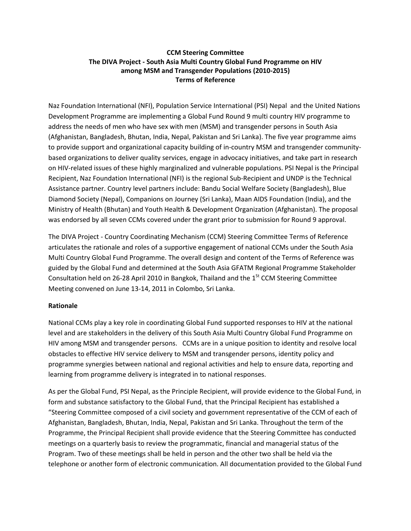## **CCM Steering Committee The DIVA Project - South Asia Multi Country Global Fund Programme on HIV among MSM and Transgender Populations (2010-2015) Terms of Reference**

Naz Foundation International (NFI), Population Service International (PSI) Nepal and the United Nations Development Programme are implementing a Global Fund Round 9 multi country HIV programme to address the needs of men who have sex with men (MSM) and transgender persons in South Asia (Afghanistan, Bangladesh, Bhutan, India, Nepal, Pakistan and Sri Lanka). The five year programme aims to provide support and organizational capacity building of in-country MSM and transgender communitybased organizations to deliver quality services, engage in advocacy initiatives, and take part in research on HIV-related issues of these highly marginalized and vulnerable populations. PSI Nepal is the Principal Recipient, Naz Foundation International (NFI) is the regional Sub-Recipient and UNDP is the Technical Assistance partner. Country level partners include: Bandu Social Welfare Society (Bangladesh), Blue Diamond Society (Nepal), Companions on Journey (Sri Lanka), Maan AIDS Foundation (India), and the Ministry of Health (Bhutan) and Youth Health & Development Organization (Afghanistan). The proposal was endorsed by all seven CCMs covered under the grant prior to submission for Round 9 approval.

The DIVA Project - Country Coordinating Mechanism (CCM) Steering Committee Terms of Reference articulates the rationale and roles of a supportive engagement of national CCMs under the South Asia Multi Country Global Fund Programme. The overall design and content of the Terms of Reference was guided by the Global Fund and determined at the South Asia GFATM Regional Programme Stakeholder Consultation held on 26-28 April 2010 in Bangkok, Thailand and the 1<sup>St</sup> CCM Steering Committee Meeting convened on June 13-14, 2011 in Colombo, Sri Lanka.

## **Rationale**

National CCMs play a key role in coordinating Global Fund supported responses to HIV at the national level and are stakeholders in the delivery of this South Asia Multi Country Global Fund Programme on HIV among MSM and transgender persons. CCMs are in a unique position to identity and resolve local obstacles to effective HIV service delivery to MSM and transgender persons, identity policy and programme synergies between national and regional activities and help to ensure data, reporting and learning from programme delivery is integrated in to national responses.

As per the Global Fund, PSI Nepal, as the Principle Recipient, will provide evidence to the Global Fund, in form and substance satisfactory to the Global Fund, that the Principal Recipient has established a "Steering Committee composed of a civil society and government representative of the CCM of each of Afghanistan, Bangladesh, Bhutan, India, Nepal, Pakistan and Sri Lanka. Throughout the term of the Programme, the Principal Recipient shall provide evidence that the Steering Committee has conducted meetings on a quarterly basis to review the programmatic, financial and managerial status of the Program. Two of these meetings shall be held in person and the other two shall be held via the telephone or another form of electronic communication. All documentation provided to the Global Fund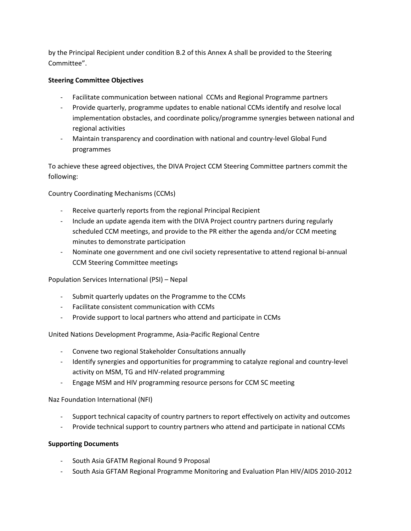by the Principal Recipient under condition B.2 of this Annex A shall be provided to the Steering Committee".

## **Steering Committee Objectives**

- Facilitate communication between national CCMs and Regional Programme partners
- Provide quarterly, programme updates to enable national CCMs identify and resolve local implementation obstacles, and coordinate policy/programme synergies between national and regional activities
- Maintain transparency and coordination with national and country-level Global Fund programmes

To achieve these agreed objectives, the DIVA Project CCM Steering Committee partners commit the following:

Country Coordinating Mechanisms (CCMs)

- Receive quarterly reports from the regional Principal Recipient
- Include an update agenda item with the DIVA Project country partners during regularly scheduled CCM meetings, and provide to the PR either the agenda and/or CCM meeting minutes to demonstrate participation
- Nominate one government and one civil society representative to attend regional bi-annual CCM Steering Committee meetings

Population Services International (PSI) – Nepal

- Submit quarterly updates on the Programme to the CCMs
- Facilitate consistent communication with CCMs
- Provide support to local partners who attend and participate in CCMs

United Nations Development Programme, Asia-Pacific Regional Centre

- Convene two regional Stakeholder Consultations annually
- Identify synergies and opportunities for programming to catalyze regional and country-level activity on MSM, TG and HIV-related programming
- Engage MSM and HIV programming resource persons for CCM SC meeting

Naz Foundation International (NFI)

- Support technical capacity of country partners to report effectively on activity and outcomes
- Provide technical support to country partners who attend and participate in national CCMs

## **Supporting Documents**

- South Asia GFATM Regional Round 9 Proposal
- South Asia GFTAM Regional Programme Monitoring and Evaluation Plan HIV/AIDS 2010-2012